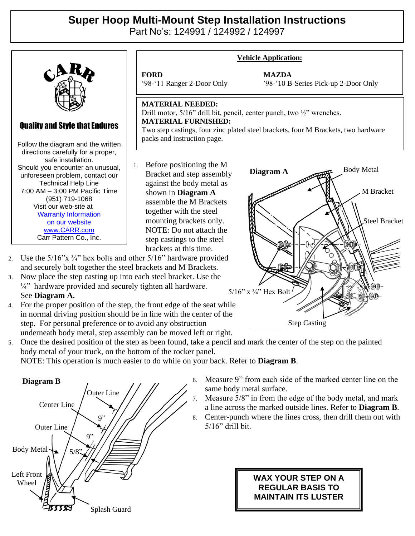## **Super Hoop Multi-Mount Step Installation Instructions**

Part No's: 124991 / 124992 / 124997



- and securely bolt together the steel brackets and M Brackets.
- 3. Now place the step casting up into each steel bracket. Use the  $\frac{1}{4}$ " hardware provided and securely tighten all hardware. See **Diagram A.**
- 4. For the proper position of the step, the front edge of the seat while in normal driving position should be in line with the center of the step. For personal preference or to avoid any obstruction underneath body metal, step assembly can be moved left or right.

5. Once the desired position of the step as been found, take a pencil and mark the center of the step on the painted body metal of your truck, on the bottom of the rocker panel.

NOTE: This operation is much easier to do while on your back. Refer to **Diagram B**.



6. Measure 9" from each side of the marked center line on the same body metal surface.

Step Casting

5/16" x ¾" Hex Bolt

- 7. Measure 5/8" in from the edge of the body metal, and mark a line across the marked outside lines. Refer to **Diagram B**.
- 8. Center-punch where the lines cross, then drill them out with 5/16" drill bit.

## **WAX YOUR STEP ON A REGULAR BASIS TO MAINTAIN ITS LUSTER**